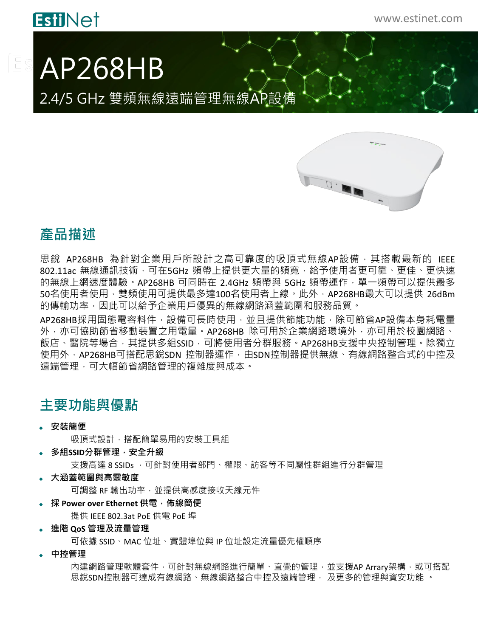## **EstiNet**

[Es

# AP268HB

2.4/5 GHz 雙頻無線遠端管理無線AP設備



### **產品描述**

思銳 AP268HB 為針對企業用戶所設計之高可靠度的吸頂式無線AP設備,其搭載最新的 IEEE 802.11ac 無線通訊技術,可在5GHz 頻帶上提供更大量的頻寬,給予使用者更可靠、更佳、更快速 的無線上網速度體驗。AP268HB 可同時在 2.4GHz 頻帶與 5GHz 頻帶運作,單一頻帶可以提供最多 50名使用者使用,雙頻使用可提供最多達100名使用者上線。此外,AP268HB最大可以提供 26dBm 的傳輸功率,因此可以給予企業用戶優異的無線網路涵蓋範圍和服務品質。

AP268HB採用固態電容料件,設備可長時使用,並且提供節能功能,除可節省AP設備本身耗電量 外,亦可協助節省移動裝置之用電量。AP268HB 除可用於企業網路環境外,亦可用於校園網路、 飯店、醫院等場合,其提供多組SSID,可將使用者分群服務。AP268HB支援中央控制管理。除獨立 使用外,AP268HB可搭配思銳SDN 控制器運作,由SDN控制器提供無線、有線網路整合式的中控及 遠端管理,可大幅節省網路管理的複雜度與成本。

### **主要功能與優點**

**安裝簡便**

吸頂式設計,搭配簡單易用的安裝工具組

**多組SSID分群管理,安全升級**

支援高達 8 SSIDs , 可針對使用者部門、權限、訪客等不同屬性群組進行分群管理

**大涵蓋範圍與高靈敏度**

可調整 RF 輸出功率,並提供高感度接收天線元件

- **採 Power over Ethernet 供電,佈線簡便**
	- 提供 IEEE 802.3at PoE 供電 PoE 埠
- **進階 QoS 管理及流量管理**

可依據 SSID、MAC 位址、實體埠位與 IP 位址設定流量優先權順序

**中控管理**

內建網路管理軟體套件,可針對無線網路進行簡單、直覺的管理,並支援AP Arrary架構,或可搭配 思銳SDN控制器可達成有線網路、無線網路整合中控及遠端管理, 及更多的管理與資安功能 。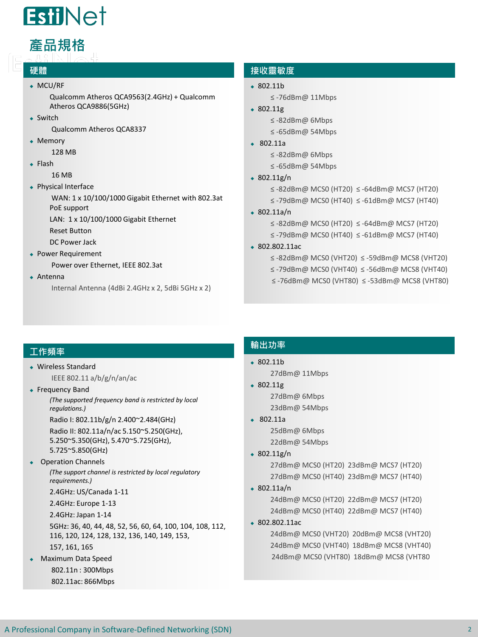

# **產品規格**

#### **硬體**

#### MCU/RF

Qualcomm Atheros QCA9563(2.4GHz) + Qualcomm Atheros QCA9886(5GHz)

• Switch

Qualcomm Atheros QCA8337

• Memory

128 MB

 $\leftarrow$  Flash

16 MB

Physical Interface

WAN: 1 x 10/100/1000 Gigabit Ethernet with 802.3at PoE support

LAN: 1 x 10/100/1000 Gigabit Ethernet

Reset Button

DC Power Jack

Power Requirement

Power over Ethernet, IEEE 802.3at

Antenna

Internal Antenna (4dBi 2.4GHz x 2, 5dBi 5GHz x 2)

#### **接收靈敏度**

- $$802.11h$ ≤ -76dBm@ 11Mbps
- $\text{-} 802.11g$ 
	- ≤ -82dBm@ 6Mbps
	- ≤ -65dBm@ 54Mbps
- 802.11a

≤ -82dBm@ 6Mbps

- ≤ -65dBm@ 54Mbps
- $\cdot$  802.11g/n
	- ≤ -82dBm@ MCS0 (HT20) ≤ -64dBm@ MCS7 (HT20)
	- ≤ -79dBm@ MCS0 (HT40) ≤ -61dBm@ MCS7 (HT40)
- 802.11a/n
	- ≤ -82dBm@ MCS0 (HT20) ≤ -64dBm@ MCS7 (HT20)
	- ≤ -79dBm@ MCS0 (HT40) ≤ -61dBm@ MCS7 (HT40)
- 802.802.11ac
	- ≤ -82dBm@ MCS0 (VHT20) ≤ -59dBm@ MCS8 (VHT20)
	- ≤ -79dBm@ MCS0 (VHT40) ≤ -56dBm@ MCS8 (VHT40)
	- ≤ -76dBm@ MCS0 (VHT80) ≤ -53dBm@ MCS8 (VHT80)

#### **工作頻率**

- Wireless Standard IEEE 802.11 a/b/g/n/an/ac
- Frequency Band

*(The supported frequency band is restricted by local regulations.)* 

Radio I: 802.11b/g/n 2.400~2.484(GHz)

Radio II: 802.11a/n/ac 5.150~5.250(GHz), 5.250~5.350(GHz), 5.470~5.725(GHz), 5.725~5.850(GHz)

#### ◆ Operation Channels

*(The support channel is restricted by local regulatory requirements.)* 

2.4GHz: US/Canada 1-11

2.4GHz: Europe 1-13

2.4GHz: Japan 1-14

5GHz: 36, 40, 44, 48, 52, 56, 60, 64, 100, 104, 108, 112, 116, 120, 124, 128, 132, 136, 140, 149, 153,

- 157, 161, 165 Maximum Data Speed
- 802.11n : 300Mbps 802.11ac: 866Mbps

#### **輸出功率**

- 802.11b
	- 27dBm@ 11Mbps
- 802.11g 27dBm@ 6Mbps 23dBm@ 54Mbps
- 802.11a 25dBm@ 6Mbps 22dBm@ 54Mbps
- $\cdot$  802.11g/n

27dBm@ MCS0 (HT20) 23dBm@ MCS7 (HT20) 27dBm@ MCS0 (HT40) 23dBm@ MCS7 (HT40)

 $\div$  802.11a/n

24dBm@ MCS0 (HT20) 22dBm@ MCS7 (HT20) 24dBm@ MCS0 (HT40) 22dBm@ MCS7 (HT40)

802.802.11ac

24dBm@ MCS0 (VHT40) 18dBm@ MCS8 (VHT40) 24dBm@ MCS0 (VHT20) 20dBm@ MCS8 (VHT20) 24dBm@ MCS0 (VHT80) 18dBm@ MCS8 (VHT80